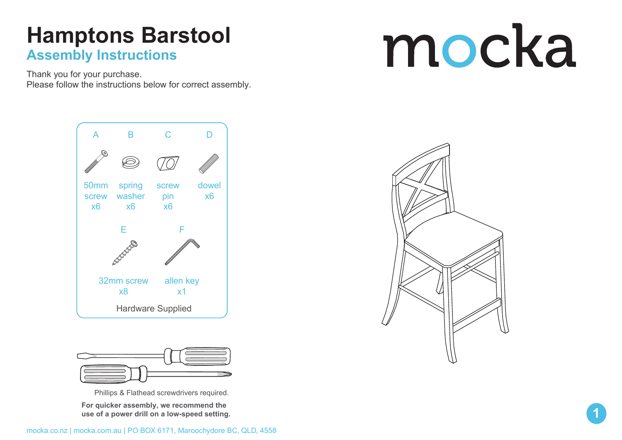#### **Hamptons Barstool Assembly Instructions**

Thank you for your purchase. Please follow the instructions below for correct assembly.

# mocka





Phillips & Flathead screwdrivers required.

**For quicker assembly, we recommend the use of a power drill on a low-speed setting.**



**1**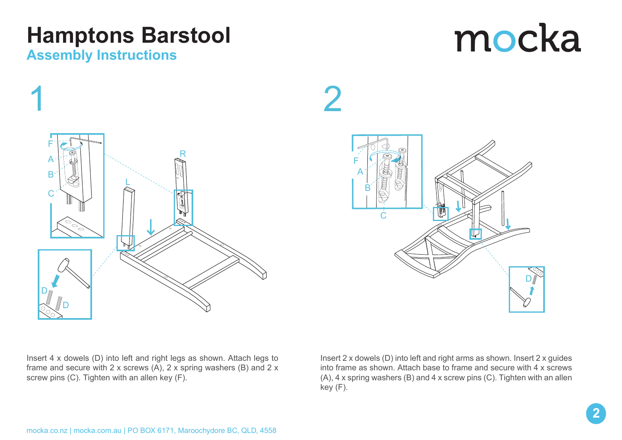## **Hamptons Barstool**

#### **Assembly Instructions**

# mocka







Insert 4 x dowels (D) into left and right legs as shown. Attach legs to frame and secure with 2 x screws (A), 2 x spring washers (B) and 2 x screw pins (C). Tighten with an allen key (F).

Insert 2 x dowels (D) into left and right arms as shown. Insert 2 x guides into frame as shown. Attach base to frame and secure with 4 x screws (A), 4 x spring washers (B) and 4 x screw pins (C). Tighten with an allen key (F).